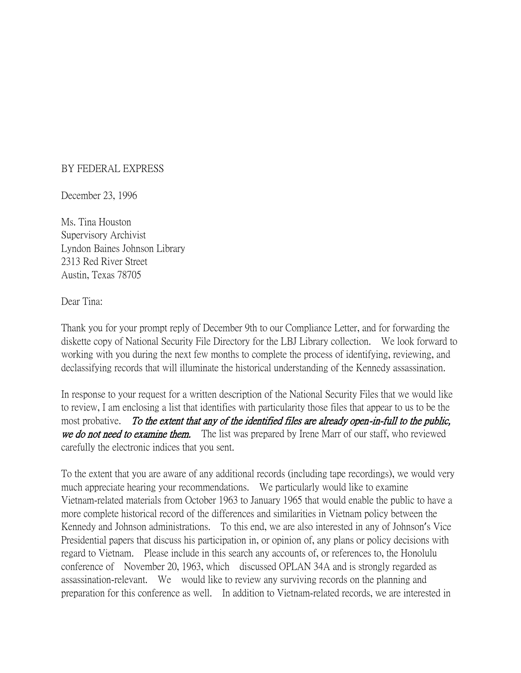## BY FEDERAL EXPRESS

December 23, 1996

Ms. Tina Houston Supervisory Archivist Lyndon Baines Johnson Library 2313 Red River Street Austin, Texas 78705

Dear Tina:

Thank you for your prompt reply of December 9th to our Compliance Letter, and for forwarding the diskette copy of National Security File Directory for the LBJ Library collection. We look forward to working with you during the next few months to complete the process of identifying, reviewing, and declassifying records that will illuminate the historical understanding of the Kennedy assassination.

In response to your request for a written description of the National Security Files that we would like to review, I am enclosing a list that identifies with particularity those files that appear to us to be the most probative. To the extent that any of the identified files are already open-in-full to the public, we do not need to examine them. The list was prepared by Irene Marr of our staff, who reviewed carefully the electronic indices that you sent.

To the extent that you are aware of any additional records (including tape recordings), we would very much appreciate hearing your recommendations. We particularly would like to examine Vietnam-related materials from October 1963 to January 1965 that would enable the public to have a more complete historical record of the differences and similarities in Vietnam policy between the Kennedy and Johnson administrations. To this end, we are also interested in any of Johnson's Vice Presidential papers that discuss his participation in, or opinion of, any plans or policy decisions with regard to Vietnam. Please include in this search any accounts of, or references to, the Honolulu conference of November 20, 1963, which discussed OPLAN 34A and is strongly regarded as assassination-relevant. We would like to review any surviving records on the planning and preparation for this conference as well. In addition to Vietnam-related records, we are interested in